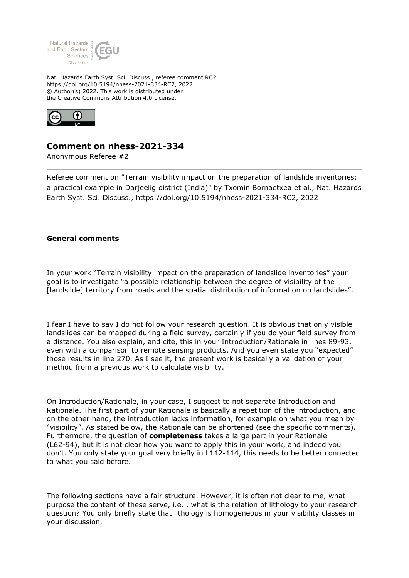

Nat. Hazards Earth Syst. Sci. Discuss., referee comment RC2 https://doi.org/10.5194/nhess-2021-334-RC2, 2022 © Author(s) 2022. This work is distributed under the Creative Commons Attribution 4.0 License.



## **Comment on nhess-2021-334**

Anonymous Referee #2

Referee comment on "Terrain visibility impact on the preparation of landslide inventories: a practical example in Darjeelig district (India)" by Txomin Bornaetxea et al., Nat. Hazards Earth Syst. Sci. Discuss., https://doi.org/10.5194/nhess-2021-334-RC2, 2022

## **General comments**

In your work "Terrain visibility impact on the preparation of landslide inventories" your goal is to investigate "a possible relationship between the degree of visibility of the [landslide] territory from roads and the spatial distribution of information on landslides".

I fear I have to say I do not follow your research question. It is obvious that only visible landslides can be mapped during a field survey, certainly if you do your field survey from a distance. You also explain, and cite, this in your Introduction/Rationale in lines 89-93, even with a comparison to remote sensing products. And you even state you "expected" those results in line 270. As I see it, the present work is basically a validation of your method from a previous work to calculate visibility.

On Introduction/Rationale, in your case, I suggest to not separate Introduction and Rationale. The first part of your Rationale is basically a repetition of the introduction, and on the other hand, the introduction lacks information, for example on what you mean by "visibility". As stated below, the Rationale can be shortened (see the specific comments). Furthermore, the question of **completeness** takes a large part in your Rationale (L62-94), but it is not clear how you want to apply this in your work, and indeed you don't. You only state your goal very briefly in L112-114, this needs to be better connected to what you said before.

The following sections have a fair structure. However, it is often not clear to me, what purpose the content of these serve, i.e. , what is the relation of lithology to your research question? You only briefly state that lithology is homogeneous in your visibility classes in your discussion.